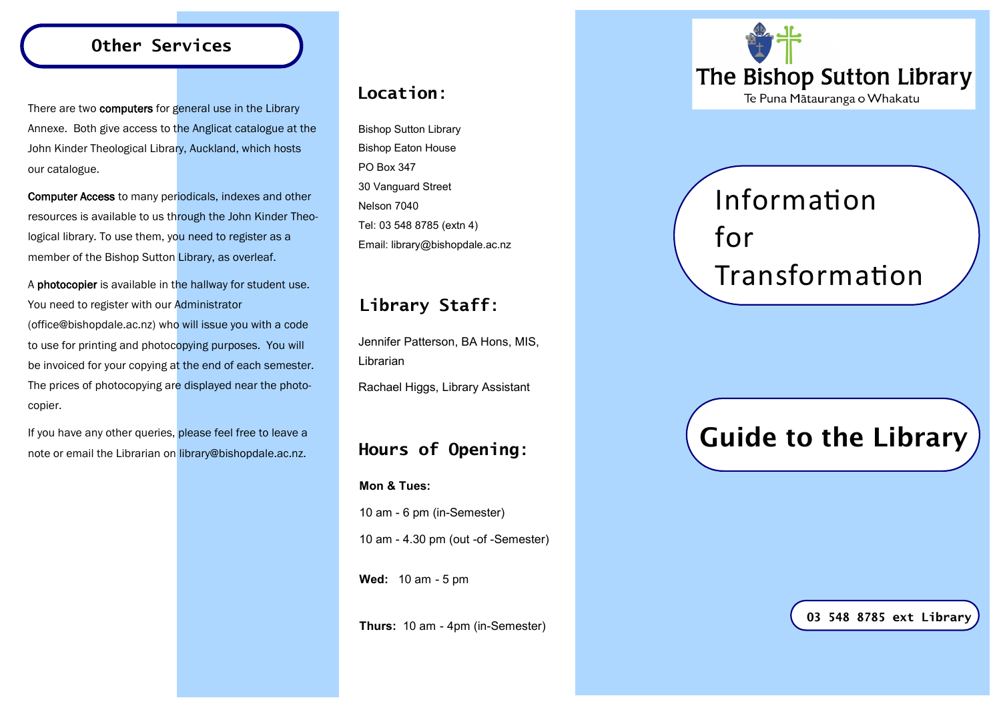#### **Other Services**

There are two computers for general use in the Library Annexe. Both give access to the Anglicat catalogue at the John Kinder Theological Library, Auckland, which hosts our catalogue.

Computer Access to many periodicals, indexes and other resources is available to us through the John Kinder Theological library. To use them, you need to register as a member of the Bishop Sutton Library, as overleaf.

A photocopier is available in the hallway for student use. You need to register with our Administrator (office@bishopdale.ac.nz) who will issue you with a code to use for printing and photocopying purposes. You will be invoiced for your copying at the end of each semester. The prices of photocopying are displayed near the photocopier.

If you have any other queries, please feel free to leave a note or email the Librarian on library@bishopdale.ac.nz.

#### **Location**:

Bishop Sutton Library Bishop Eaton House PO Box 347 30 Vanguard Street Nelson 7040 Tel: 03 548 8785 (extn 4) Email: library@bishopdale.ac.nz

## **Library Staff**:

Jennifer Patterson, BA Hons, MIS, Librarian

Rachael Higgs, Library Assistant

#### **Hours of Opening**:

**Mon & Tues:**

10 am - 6 pm (in-Semester) 10 am - 4.30 pm (out -of -Semester)

**Wed:** 10 am - 5 pm

**Thurs:** 10 am - 4pm (in-Semester)



# Information for Transformation

## Guide to the Library

**03 548 8785 ext Library**